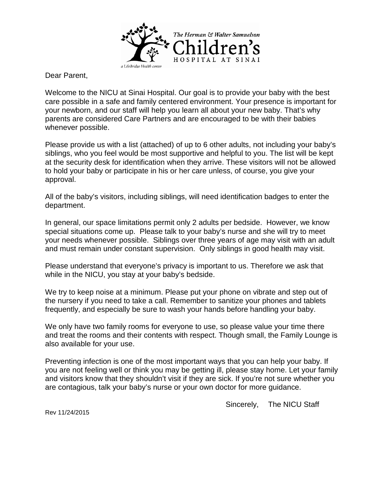

Dear Parent,

Welcome to the NICU at Sinai Hospital. Our goal is to provide your baby with the best care possible in a safe and family centered environment. Your presence is important for your newborn, and our staff will help you learn all about your new baby. That's why parents are considered Care Partners and are encouraged to be with their babies whenever possible.

Please provide us with a list (attached) of up to 6 other adults, not including your baby's siblings, who you feel would be most supportive and helpful to you. The list will be kept at the security desk for identification when they arrive. These visitors will not be allowed to hold your baby or participate in his or her care unless, of course, you give your approval.

All of the baby's visitors, including siblings, will need identification badges to enter the department.

In general, our space limitations permit only 2 adults per bedside. However, we know special situations come up. Please talk to your baby's nurse and she will try to meet your needs whenever possible. Siblings over three years of age may visit with an adult and must remain under constant supervision. Only siblings in good health may visit.

Please understand that everyone's privacy is important to us. Therefore we ask that while in the NICU, you stay at your baby's bedside.

We try to keep noise at a minimum. Please put your phone on vibrate and step out of the nursery if you need to take a call. Remember to sanitize your phones and tablets frequently, and especially be sure to wash your hands before handling your baby.

We only have two family rooms for everyone to use, so please value your time there and treat the rooms and their contents with respect. Though small, the Family Lounge is also available for your use.

Preventing infection is one of the most important ways that you can help your baby. If you are not feeling well or think you may be getting ill, please stay home. Let your family and visitors know that they shouldn't visit if they are sick. If you're not sure whether you are contagious, talk your baby's nurse or your own doctor for more guidance.

Sincerely, The NICU Staff

Rev 11/24/2015